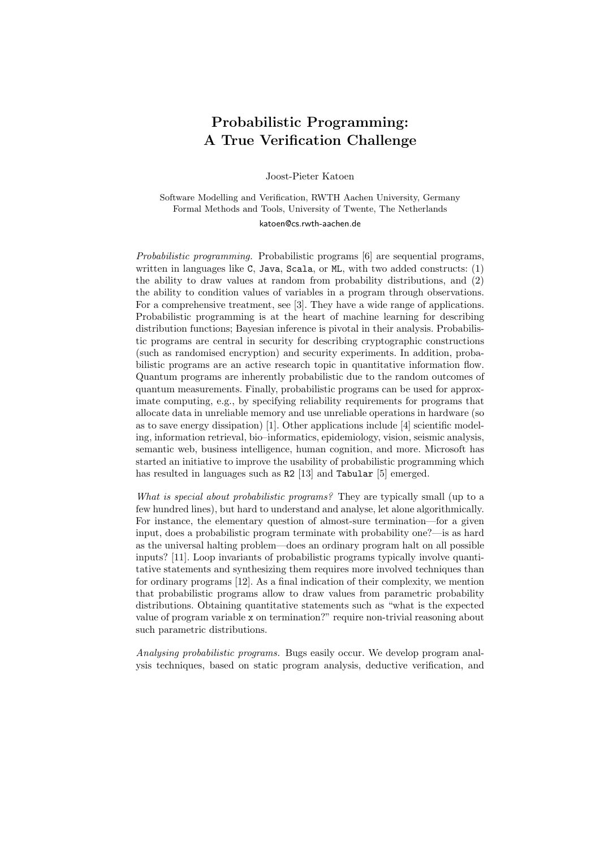## Probabilistic Programming: A True Verification Challenge

Joost-Pieter Katoen

Software Modelling and Verification, RWTH Aachen University, Germany Formal Methods and Tools, University of Twente, The Netherlands

katoen@cs.rwth-aachen.de

Probabilistic programming. Probabilistic programs [6] are sequential programs, written in languages like C, Java, Scala, or ML, with two added constructs: (1) the ability to draw values at random from probability distributions, and (2) the ability to condition values of variables in a program through observations. For a comprehensive treatment, see [3]. They have a wide range of applications. Probabilistic programming is at the heart of machine learning for describing distribution functions; Bayesian inference is pivotal in their analysis. Probabilistic programs are central in security for describing cryptographic constructions (such as randomised encryption) and security experiments. In addition, probabilistic programs are an active research topic in quantitative information flow. Quantum programs are inherently probabilistic due to the random outcomes of quantum measurements. Finally, probabilistic programs can be used for approximate computing, e.g., by specifying reliability requirements for programs that allocate data in unreliable memory and use unreliable operations in hardware (so as to save energy dissipation) [1]. Other applications include [4] scientific modeling, information retrieval, bio–informatics, epidemiology, vision, seismic analysis, semantic web, business intelligence, human cognition, and more. Microsoft has started an initiative to improve the usability of probabilistic programming which has resulted in languages such as R2 [13] and Tabular [5] emerged.

What is special about probabilistic programs? They are typically small (up to a few hundred lines), but hard to understand and analyse, let alone algorithmically. For instance, the elementary question of almost-sure termination—for a given input, does a probabilistic program terminate with probability one?—is as hard as the universal halting problem—does an ordinary program halt on all possible inputs? [11]. Loop invariants of probabilistic programs typically involve quantitative statements and synthesizing them requires more involved techniques than for ordinary programs [12]. As a final indication of their complexity, we mention that probabilistic programs allow to draw values from parametric probability distributions. Obtaining quantitative statements such as "what is the expected value of program variable x on termination?" require non-trivial reasoning about such parametric distributions.

Analysing probabilistic programs. Bugs easily occur. We develop program analysis techniques, based on static program analysis, deductive verification, and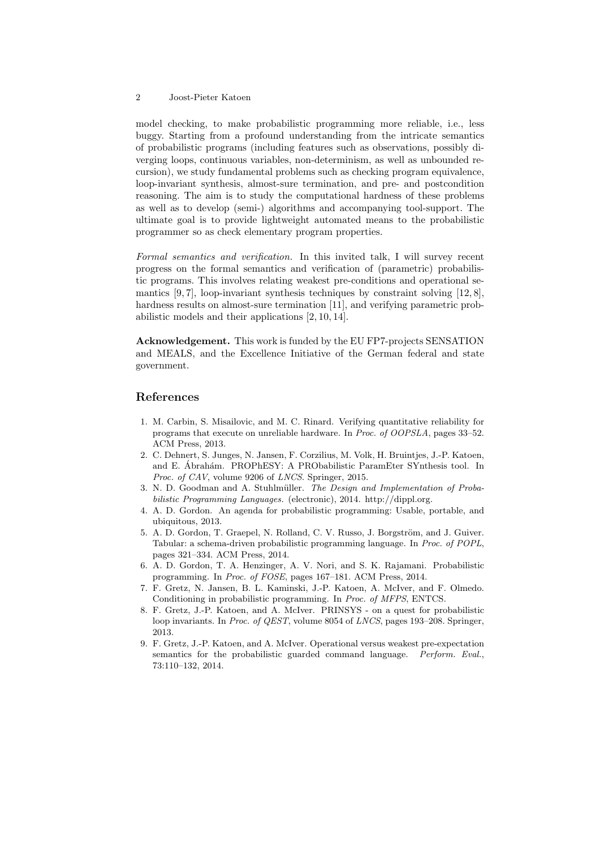## 2 Joost-Pieter Katoen

model checking, to make probabilistic programming more reliable, i.e., less buggy. Starting from a profound understanding from the intricate semantics of probabilistic programs (including features such as observations, possibly diverging loops, continuous variables, non-determinism, as well as unbounded recursion), we study fundamental problems such as checking program equivalence, loop-invariant synthesis, almost-sure termination, and pre- and postcondition reasoning. The aim is to study the computational hardness of these problems as well as to develop (semi-) algorithms and accompanying tool-support. The ultimate goal is to provide lightweight automated means to the probabilistic programmer so as check elementary program properties.

Formal semantics and verification. In this invited talk, I will survey recent progress on the formal semantics and verification of (parametric) probabilistic programs. This involves relating weakest pre-conditions and operational semantics  $[9, 7]$ , loop-invariant synthesis techniques by constraint solving  $[12, 8]$ , hardness results on almost-sure termination [11], and verifying parametric probabilistic models and their applications [2, 10, 14].

Acknowledgement. This work is funded by the EU FP7-projects SENSATION and MEALS, and the Excellence Initiative of the German federal and state government.

## References

- 1. M. Carbin, S. Misailovic, and M. C. Rinard. Verifying quantitative reliability for programs that execute on unreliable hardware. In Proc. of OOPSLA, pages 33–52. ACM Press, 2013.
- 2. C. Dehnert, S. Junges, N. Jansen, F. Corzilius, M. Volk, H. Bruintjes, J.-P. Katoen, and E. Abrah´am. PROPhESY: A PRObabilistic ParamEter SYnthesis tool. In ´ Proc. of CAV, volume 9206 of LNCS. Springer, 2015.
- 3. N. D. Goodman and A. Stuhlmüller. The Design and Implementation of Probabilistic Programming Languages. (electronic), 2014. http://dippl.org.
- 4. A. D. Gordon. An agenda for probabilistic programming: Usable, portable, and ubiquitous, 2013.
- 5. A. D. Gordon, T. Graepel, N. Rolland, C. V. Russo, J. Borgström, and J. Guiver. Tabular: a schema-driven probabilistic programming language. In Proc. of POPL, pages 321–334. ACM Press, 2014.
- 6. A. D. Gordon, T. A. Henzinger, A. V. Nori, and S. K. Rajamani. Probabilistic programming. In Proc. of FOSE, pages 167–181. ACM Press, 2014.
- 7. F. Gretz, N. Jansen, B. L. Kaminski, J.-P. Katoen, A. McIver, and F. Olmedo. Conditioning in probabilistic programming. In Proc. of MFPS, ENTCS.
- 8. F. Gretz, J.-P. Katoen, and A. McIver. PRINSYS on a quest for probabilistic loop invariants. In Proc. of QEST, volume 8054 of LNCS, pages 193–208. Springer, 2013.
- 9. F. Gretz, J.-P. Katoen, and A. McIver. Operational versus weakest pre-expectation semantics for the probabilistic guarded command language. Perform. Eval., 73:110–132, 2014.